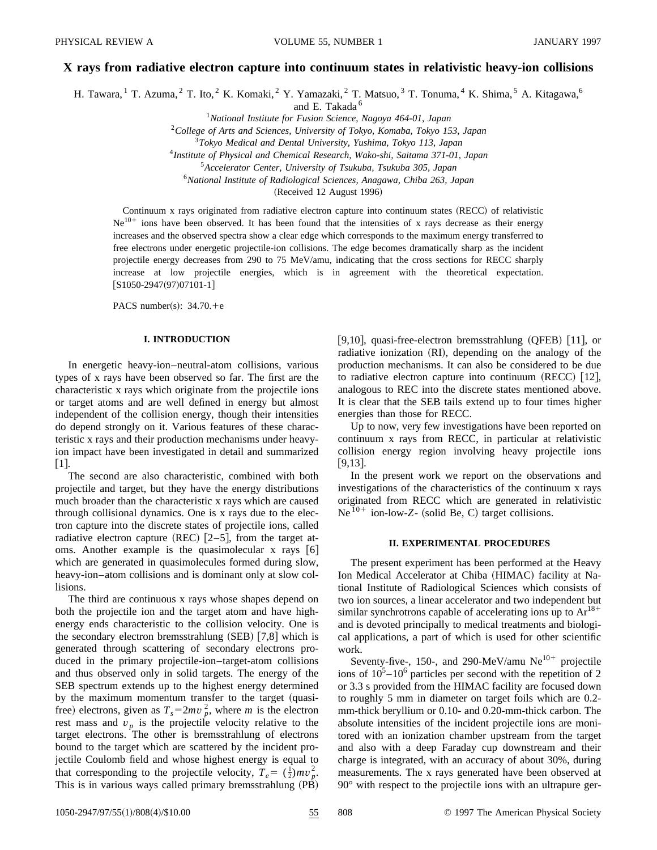# **X rays from radiative electron capture into continuum states in relativistic heavy-ion collisions**

H. Tawara, <sup>1</sup> T. Azuma, <sup>2</sup> T. Ito, <sup>2</sup> K. Komaki, <sup>2</sup> Y. Yamazaki, <sup>2</sup> T. Matsuo, <sup>3</sup> T. Tonuma, <sup>4</sup> K. Shima, <sup>5</sup> A. Kitagawa, <sup>6</sup>

and E. Takada <sup>6</sup>

<sup>1</sup>*National Institute for Fusion Science, Nagoya 464-01, Japan*

<sup>2</sup>*College of Arts and Sciences, University of Tokyo, Komaba, Tokyo 153, Japan*

<sup>3</sup>*Tokyo Medical and Dental University, Yushima, Tokyo 113, Japan*

<sup>4</sup>*Institute of Physical and Chemical Research, Wako-shi, Saitama 371-01, Japan*

<sup>5</sup>*Accelerator Center, University of Tsukuba, Tsukuba 305, Japan*

<sup>6</sup>*National Institute of Radiological Sciences, Anagawa, Chiba 263, Japan*

(Received 12 August 1996)

Continuum x rays originated from radiative electron capture into continuum states (RECC) of relativistic  $Ne<sup>10+</sup>$  ions have been observed. It has been found that the intensities of x rays decrease as their energy increases and the observed spectra show a clear edge which corresponds to the maximum energy transferred to free electrons under energetic projectile-ion collisions. The edge becomes dramatically sharp as the incident projectile energy decreases from 290 to 75 MeV/amu, indicating that the cross sections for RECC sharply increase at low projectile energies, which is in agreement with the theoretical expectation.  $[S1050-2947(97)07101-1]$ 

PACS number(s):  $34.70.+e$ 

## **I. INTRODUCTION**

In energetic heavy-ion–neutral-atom collisions, various types of x rays have been observed so far. The first are the characteristic x rays which originate from the projectile ions or target atoms and are well defined in energy but almost independent of the collision energy, though their intensities do depend strongly on it. Various features of these characteristic x rays and their production mechanisms under heavyion impact have been investigated in detail and summarized  $\lfloor 1 \rfloor$ .

The second are also characteristic, combined with both projectile and target, but they have the energy distributions much broader than the characteristic x rays which are caused through collisional dynamics. One is x rays due to the electron capture into the discrete states of projectile ions, called radiative electron capture (REC)  $[2-5]$ , from the target atoms. Another example is the quasimolecular x rays  $[6]$ which are generated in quasimolecules formed during slow, heavy-ion–atom collisions and is dominant only at slow collisions.

The third are continuous x rays whose shapes depend on both the projectile ion and the target atom and have highenergy ends characteristic to the collision velocity. One is the secondary electron bremsstrahlung  $(SEB)$   $[7,8]$  which is generated through scattering of secondary electrons produced in the primary projectile-ion–target-atom collisions and thus observed only in solid targets. The energy of the SEB spectrum extends up to the highest energy determined by the maximum momentum transfer to the target (quasifree) electrons, given as  $T_s = 2mv_p^2$ , where *m* is the electron rest mass and  $v_p$  is the projectile velocity relative to the target electrons. The other is bremsstrahlung of electrons bound to the target which are scattered by the incident projectile Coulomb field and whose highest energy is equal to that corresponding to the projectile velocity,  $T_e = (\frac{1}{2})mv_p^2$ . This is in various ways called primary bremsstrahlung  $(PB)$  [9,10], quasi-free-electron bremsstrahlung  $(QFEB)$  [11], or radiative ionization  $(RI)$ , depending on the analogy of the production mechanisms. It can also be considered to be due to radiative electron capture into continuum  $(RECC)$  [12], analogous to REC into the discrete states mentioned above. It is clear that the SEB tails extend up to four times higher energies than those for RECC.

Up to now, very few investigations have been reported on continuum x rays from RECC, in particular at relativistic collision energy region involving heavy projectile ions  $|9,13|$ .

In the present work we report on the observations and investigations of the characteristics of the continuum x rays originated from RECC which are generated in relativistic  $Ne<sup>10+</sup>$  ion-low-*Z*- (solid Be, C) target collisions.

## **II. EXPERIMENTAL PROCEDURES**

The present experiment has been performed at the Heavy Ion Medical Accelerator at Chiba (HIMAC) facility at National Institute of Radiological Sciences which consists of two ion sources, a linear accelerator and two independent but similar synchrotrons capable of accelerating ions up to  $Ar^{18+}$ and is devoted principally to medical treatments and biological applications, a part of which is used for other scientific work.

Seventy-five-, 150-, and 290-MeV/amu  $Ne^{10+}$  projectile ions of  $10^5 - 10^6$  particles per second with the repetition of 2 or 3.3 s provided from the HIMAC facility are focused down to roughly 5 mm in diameter on target foils which are 0.2 mm-thick beryllium or 0.10- and 0.20-mm-thick carbon. The absolute intensities of the incident projectile ions are monitored with an ionization chamber upstream from the target and also with a deep Faraday cup downstream and their charge is integrated, with an accuracy of about 30%, during measurements. The x rays generated have been observed at 90° with respect to the projectile ions with an ultrapure ger-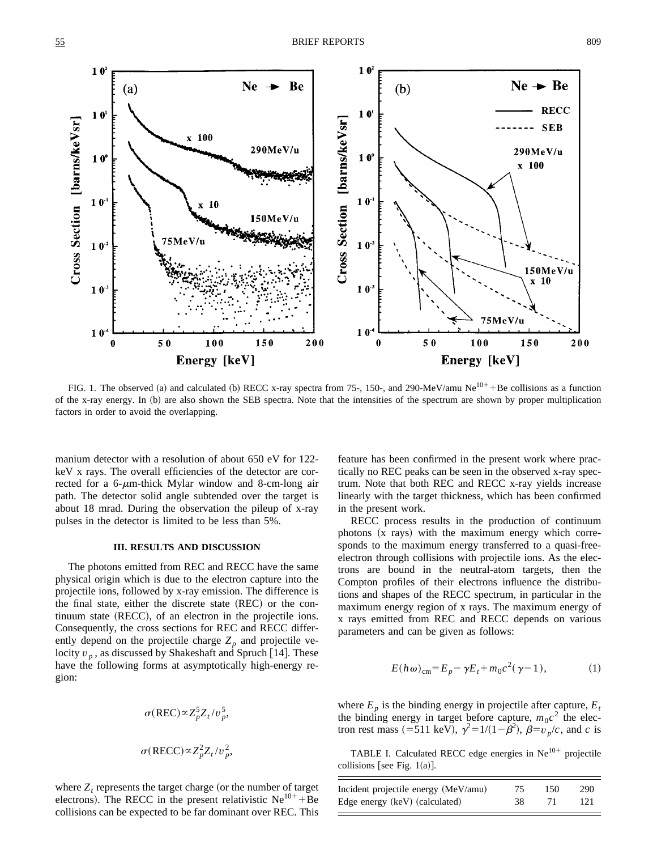

FIG. 1. The observed (a) and calculated (b) RECC x-ray spectra from 75-, 150-, and 290-MeV/amu Ne<sup>10+</sup> + Be collisions as a function of the x-ray energy. In (b) are also shown the SEB spectra. Note that the intensities of the spectrum are shown by proper multiplication factors in order to avoid the overlapping.

manium detector with a resolution of about 650 eV for 122 keV x rays. The overall efficiencies of the detector are corrected for a 6- $\mu$ m-thick Mylar window and 8-cm-long air path. The detector solid angle subtended over the target is about 18 mrad. During the observation the pileup of x-ray pulses in the detector is limited to be less than 5%.

#### **III. RESULTS AND DISCUSSION**

The photons emitted from REC and RECC have the same physical origin which is due to the electron capture into the projectile ions, followed by x-ray emission. The difference is the final state, either the discrete state (REC) or the con $t$ inuum state  $(RECC)$ , of an electron in the projectile ions. Consequently, the cross sections for REC and RECC differently depend on the projectile charge  $Z_p$  and projectile velocity  $v_p$ , as discussed by Shakeshaft and Spruch [14]. These have the following forms at asymptotically high-energy region:

$$
\sigma(\text{REC}) \propto Z_p^5 Z_t / v_p^5,
$$
  

$$
\sigma(\text{REC}) \propto Z_p^2 Z_t / v_p^2,
$$

where  $Z_t$  represents the target charge (or the number of target electrons). The RECC in the present relativistic  $Ne^{10+}+Be$ collisions can be expected to be far dominant over REC. This feature has been confirmed in the present work where practically no REC peaks can be seen in the observed x-ray spectrum. Note that both REC and RECC x-ray yields increase linearly with the target thickness, which has been confirmed in the present work.

RECC process results in the production of continuum photons  $(x \text{ rays})$  with the maximum energy which corresponds to the maximum energy transferred to a quasi-freeelectron through collisions with projectile ions. As the electrons are bound in the neutral-atom targets, then the Compton profiles of their electrons influence the distributions and shapes of the RECC spectrum, in particular in the maximum energy region of x rays. The maximum energy of x rays emitted from REC and RECC depends on various parameters and can be given as follows:

$$
E(h\omega)_{\rm cm} = E_p - \gamma E_t + m_0 c^2 (\gamma - 1),\tag{1}
$$

where  $E_p$  is the binding energy in projectile after capture,  $E_t$ the binding energy in target before capture,  $m_0c^2$  the electron rest mass (=511 keV),  $\gamma^2 = 1/(1 - \beta^2)$ ,  $\beta = v_p/c$ , and *c* is

TABLE I. Calculated RECC edge energies in  $Ne^{10+}$  projectile collisions [see Fig.  $1(a)$ ].

| Incident projectile energy (MeV/amu) | 75 | 150 | 290 |
|--------------------------------------|----|-----|-----|
| Edge energy (keV) (calculated)       | 38 | -71 | 121 |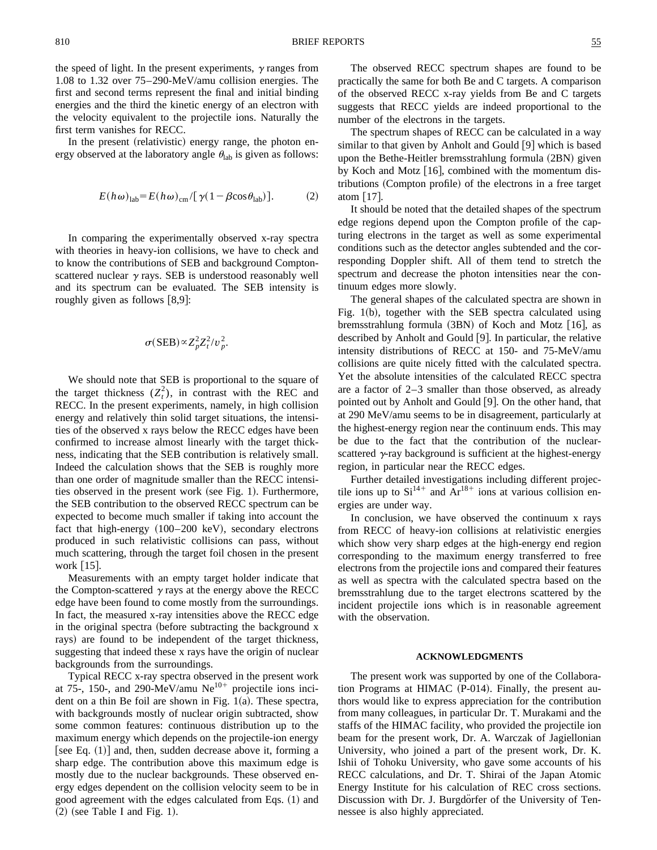In the present (relativistic) energy range, the photon energy observed at the laboratory angle  $\theta_{lab}$  is given as follows:

$$
E(h\omega)_{\text{lab}} = E(h\omega)_{\text{cm}} / [\gamma (1 - \beta \cos \theta_{\text{lab}})]. \tag{2}
$$

In comparing the experimentally observed x-ray spectra with theories in heavy-ion collisions, we have to check and to know the contributions of SEB and background Comptonscattered nuclear  $\gamma$  rays. SEB is understood reasonably well and its spectrum can be evaluated. The SEB intensity is roughly given as follows  $[8,9]$ :

$$
\sigma(SEB) \propto Z_p^2 Z_t^2/v_p^2.
$$

We should note that SEB is proportional to the square of the target thickness  $(Z_t^2)$ , in contrast with the REC and RECC. In the present experiments, namely, in high collision energy and relatively thin solid target situations, the intensities of the observed x rays below the RECC edges have been confirmed to increase almost linearly with the target thickness, indicating that the SEB contribution is relatively small. Indeed the calculation shows that the SEB is roughly more than one order of magnitude smaller than the RECC intensities observed in the present work (see Fig. 1). Furthermore, the SEB contribution to the observed RECC spectrum can be expected to become much smaller if taking into account the fact that high-energy  $(100–200 \text{ keV})$ , secondary electrons produced in such relativistic collisions can pass, without much scattering, through the target foil chosen in the present work  $[15]$ .

Measurements with an empty target holder indicate that the Compton-scattered  $\gamma$  rays at the energy above the RECC edge have been found to come mostly from the surroundings. In fact, the measured x-ray intensities above the RECC edge in the original spectra (before subtracting the background x rays) are found to be independent of the target thickness, suggesting that indeed these x rays have the origin of nuclear backgrounds from the surroundings.

Typical RECC x-ray spectra observed in the present work at 75-, 150-, and 290-MeV/amu  $Ne^{10+}$  projectile ions incident on a thin Be foil are shown in Fig.  $1(a)$ . These spectra, with backgrounds mostly of nuclear origin subtracted, show some common features: continuous distribution up to the maximum energy which depends on the projectile-ion energy [see Eq.  $(1)$ ] and, then, sudden decrease above it, forming a sharp edge. The contribution above this maximum edge is mostly due to the nuclear backgrounds. These observed energy edges dependent on the collision velocity seem to be in good agreement with the edges calculated from Eqs. (1) and  $(2)$  (see Table I and Fig. 1).

The observed RECC spectrum shapes are found to be practically the same for both Be and C targets. A comparison of the observed RECC x-ray yields from Be and C targets suggests that RECC yields are indeed proportional to the number of the electrons in the targets.

The spectrum shapes of RECC can be calculated in a way similar to that given by Anholt and Gould  $[9]$  which is based upon the Bethe-Heitler bremsstrahlung formula (2BN) given by Koch and Motz  $[16]$ , combined with the momentum distributions (Compton profile) of the electrons in a free target atom  $|17|$ .

It should be noted that the detailed shapes of the spectrum edge regions depend upon the Compton profile of the capturing electrons in the target as well as some experimental conditions such as the detector angles subtended and the corresponding Doppler shift. All of them tend to stretch the spectrum and decrease the photon intensities near the continuum edges more slowly.

The general shapes of the calculated spectra are shown in Fig. 1(b), together with the SEB spectra calculated using bremsstrahlung formula  $(3BN)$  of Koch and Motz [16], as described by Anholt and Gould  $[9]$ . In particular, the relative intensity distributions of RECC at 150- and 75-MeV/amu collisions are quite nicely fitted with the calculated spectra. Yet the absolute intensities of the calculated RECC spectra are a factor of 2–3 smaller than those observed, as already pointed out by Anholt and Gould [9]. On the other hand, that at 290 MeV/amu seems to be in disagreement, particularly at the highest-energy region near the continuum ends. This may be due to the fact that the contribution of the nuclearscattered  $\gamma$ -ray background is sufficient at the highest-energy region, in particular near the RECC edges.

Further detailed investigations including different projectile ions up to  $Si^{14+}$  and  $Ar^{18+}$  ions at various collision energies are under way.

In conclusion, we have observed the continuum x rays from RECC of heavy-ion collisions at relativistic energies which show very sharp edges at the high-energy end region corresponding to the maximum energy transferred to free electrons from the projectile ions and compared their features as well as spectra with the calculated spectra based on the bremsstrahlung due to the target electrons scattered by the incident projectile ions which is in reasonable agreement with the observation.

#### **ACKNOWLEDGMENTS**

The present work was supported by one of the Collaboration Programs at HIMAC  $(P-014)$ . Finally, the present authors would like to express appreciation for the contribution from many colleagues, in particular Dr. T. Murakami and the staffs of the HIMAC facility, who provided the projectile ion beam for the present work, Dr. A. Warczak of Jagiellonian University, who joined a part of the present work, Dr. K. Ishii of Tohoku University, who gave some accounts of his RECC calculations, and Dr. T. Shirai of the Japan Atomic Energy Institute for his calculation of REC cross sections. Discussion with Dr. J. Burgdorfer of the University of Tennessee is also highly appreciated.